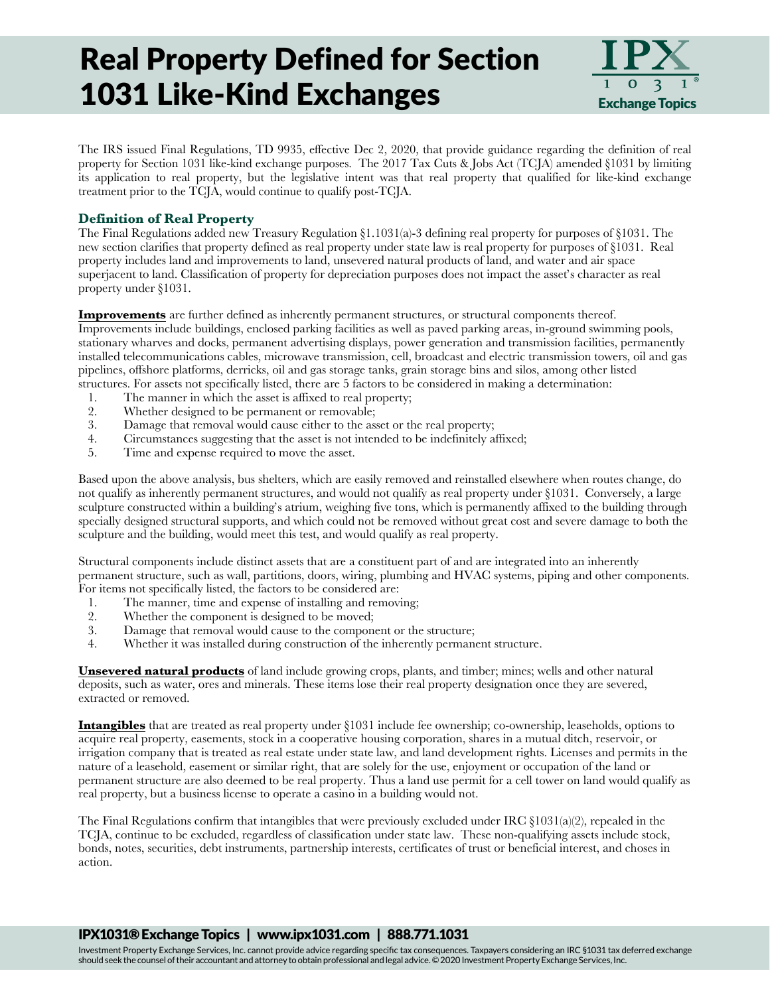## Real Property Defined for Section 1031 Like-Kind Exchanges



The IRS issued Final Regulations, TD 9935, effective Dec 2, 2020, that provide guidance regarding the definition of real property for Section 1031 like-kind exchange purposes. The 2017 Tax Cuts & Jobs Act (TCJA) amended §1031 by limiting its application to real property, but the legislative intent was that real property that qualified for like-kind exchange treatment prior to the TCJA, would continue to qualify post-TCJA.

### **Definition of Real Property**

The Final Regulations added new Treasury Regulation §1.1031(a)-3 defining real property for purposes of §1031. The new section clarifies that property defined as real property under state law is real property for purposes of §1031. Real property includes land and improvements to land, unsevered natural products of land, and water and air space superjacent to land. Classification of property for depreciation purposes does not impact the asset's character as real property under §1031.

**Improvements** are further defined as inherently permanent structures, or structural components thereof. Improvements include buildings, enclosed parking facilities as well as paved parking areas, in-ground swimming pools, stationary wharves and docks, permanent advertising displays, power generation and transmission facilities, permanently installed telecommunications cables, microwave transmission, cell, broadcast and electric transmission towers, oil and gas pipelines, offshore platforms, derricks, oil and gas storage tanks, grain storage bins and silos, among other listed structures. For assets not specifically listed, there are 5 factors to be considered in making a determination:

- 1. The manner in which the asset is affixed to real property;
- 2. Whether designed to be permanent or removable;<br>3. Damage that removal would cause either to the as
- Damage that removal would cause either to the asset or the real property;
- 4. Circumstances suggesting that the asset is not intended to be indefinitely affixed;
- 5. Time and expense required to move the asset.

Based upon the above analysis, bus shelters, which are easily removed and reinstalled elsewhere when routes change, do not qualify as inherently permanent structures, and would not qualify as real property under §1031. Conversely, a large sculpture constructed within a building's atrium, weighing five tons, which is permanently affixed to the building through specially designed structural supports, and which could not be removed without great cost and severe damage to both the sculpture and the building, would meet this test, and would qualify as real property.

Structural components include distinct assets that are a constituent part of and are integrated into an inherently permanent structure, such as wall, partitions, doors, wiring, plumbing and HVAC systems, piping and other components. For items not specifically listed, the factors to be considered are:

- 1. The manner, time and expense of installing and removing;<br>2. Whether the component is designed to be moved;
- Whether the component is designed to be moved;
- 3. Damage that removal would cause to the component or the structure;
- 4. Whether it was installed during construction of the inherently permanent structure.

**Unsevered natural products** of land include growing crops, plants, and timber; mines; wells and other natural deposits, such as water, ores and minerals. These items lose their real property designation once they are severed, extracted or removed.

**Intangibles** that are treated as real property under §1031 include fee ownership; co-ownership, leaseholds, options to acquire real property, easements, stock in a cooperative housing corporation, shares in a mutual ditch, reservoir, or irrigation company that is treated as real estate under state law, and land development rights. Licenses and permits in the nature of a leasehold, easement or similar right, that are solely for the use, enjoyment or occupation of the land or permanent structure are also deemed to be real property. Thus a land use permit for a cell tower on land would qualify as real property, but a business license to operate a casino in a building would not.

The Final Regulations confirm that intangibles that were previously excluded under IRC  $\S 1031(a)(2)$ , repealed in the TCJA, continue to be excluded, regardless of classification under state law. These non-qualifying assets include stock, bonds, notes, securities, debt instruments, partnership interests, certificates of trust or beneficial interest, and choses in action.

#### IPX1031® Exchange Topics | www.ipx1031.com | 888.771.1031

Investment Property Exchange Services, Inc. cannot provide advice regarding specific tax consequences. Taxpayers considering an IRC §1031 tax deferred exchange should seek the counsel of their accountant and attorney to obtain professional and legal advice. © 2020 Investment Property Exchange Services, Inc.